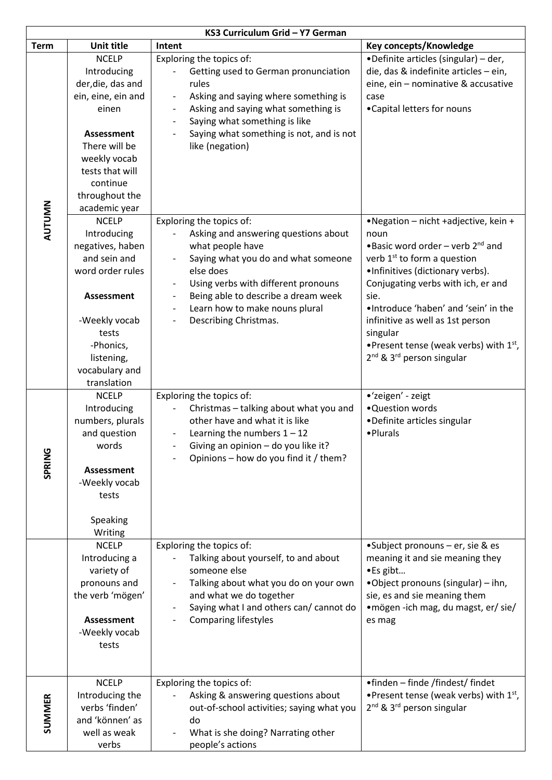| KS3 Curriculum Grid - Y7 German |                                                                                                                                                                                                                 |                                                                                                                                                                                                                                                                                                                                           |                                                                                                                                                                                                                                                                                                                                                                                                               |  |
|---------------------------------|-----------------------------------------------------------------------------------------------------------------------------------------------------------------------------------------------------------------|-------------------------------------------------------------------------------------------------------------------------------------------------------------------------------------------------------------------------------------------------------------------------------------------------------------------------------------------|---------------------------------------------------------------------------------------------------------------------------------------------------------------------------------------------------------------------------------------------------------------------------------------------------------------------------------------------------------------------------------------------------------------|--|
| <b>Term</b>                     | <b>Unit title</b>                                                                                                                                                                                               | Intent                                                                                                                                                                                                                                                                                                                                    | Key concepts/Knowledge                                                                                                                                                                                                                                                                                                                                                                                        |  |
| AUTUMN                          | <b>NCELP</b><br>Introducing<br>der, die, das and<br>ein, eine, ein and<br>einen<br><b>Assessment</b><br>There will be<br>weekly vocab<br>tests that will<br>continue<br>throughout the                          | Exploring the topics of:<br>Getting used to German pronunciation<br>rules<br>Asking and saying where something is<br>Asking and saying what something is<br>Saying what something is like<br>Saying what something is not, and is not<br>like (negation)                                                                                  | •Definite articles (singular) - der,<br>die, das & indefinite articles - ein,<br>eine, ein - nominative & accusative<br>case<br>•Capital letters for nouns                                                                                                                                                                                                                                                    |  |
|                                 | academic year<br><b>NCELP</b><br>Introducing<br>negatives, haben<br>and sein and<br>word order rules<br><b>Assessment</b><br>-Weekly vocab<br>tests<br>-Phonics,<br>listening,<br>vocabulary and<br>translation | Exploring the topics of:<br>Asking and answering questions about<br>what people have<br>Saying what you do and what someone<br>else does<br>Using verbs with different pronouns<br>$\overline{\phantom{a}}$<br>Being able to describe a dream week<br>Learn how to make nouns plural<br>Describing Christmas.<br>$\overline{\phantom{a}}$ | •Negation - nicht +adjective, kein +<br>noun<br>• Basic word order – verb $2^{nd}$ and<br>verb 1 <sup>st</sup> to form a question<br>·Infinitives (dictionary verbs).<br>Conjugating verbs with ich, er and<br>sie.<br>.Introduce 'haben' and 'sein' in the<br>infinitive as well as 1st person<br>singular<br>• Present tense (weak verbs) with $1st$ ,<br>2 <sup>nd</sup> & 3 <sup>rd</sup> person singular |  |
| SPRING                          | <b>NCELP</b><br>Introducing<br>numbers, plurals<br>and question<br>words<br><b>Assessment</b><br>-Weekly vocab<br>tests<br>Speaking<br>Writing                                                                  | Exploring the topics of:<br>Christmas - talking about what you and<br>other have and what it is like<br>Learning the numbers $1 - 12$<br>Giving an opinion - do you like it?<br>Opinions - how do you find it / them?                                                                                                                     | •'zeigen' - zeigt<br>•Question words<br>•Definite articles singular<br>• Plurals                                                                                                                                                                                                                                                                                                                              |  |
|                                 | <b>NCELP</b><br>Introducing a<br>variety of<br>pronouns and<br>the verb 'mögen'<br><b>Assessment</b><br>-Weekly vocab<br>tests                                                                                  | Exploring the topics of:<br>Talking about yourself, to and about<br>someone else<br>Talking about what you do on your own<br>and what we do together<br>Saying what I and others can/ cannot do<br><b>Comparing lifestyles</b>                                                                                                            | •Subject pronouns - er, sie & es<br>meaning it and sie meaning they<br>·Es gibt<br>•Object pronouns (singular) – ihn,<br>sie, es and sie meaning them<br>• mögen -ich mag, du magst, er/ sie/<br>es mag                                                                                                                                                                                                       |  |
| <b>SUMMER</b>                   | <b>NCELP</b><br>Introducing the<br>verbs 'finden'<br>and 'können' as<br>well as weak<br>verbs                                                                                                                   | Exploring the topics of:<br>Asking & answering questions about<br>out-of-school activities; saying what you<br>do<br>What is she doing? Narrating other<br>$\overline{\phantom{a}}$<br>people's actions                                                                                                                                   | •finden – finde /findest/ findet<br>• Present tense (weak verbs) with $1st$ ,<br>2 <sup>nd</sup> & 3 <sup>rd</sup> person singular                                                                                                                                                                                                                                                                            |  |